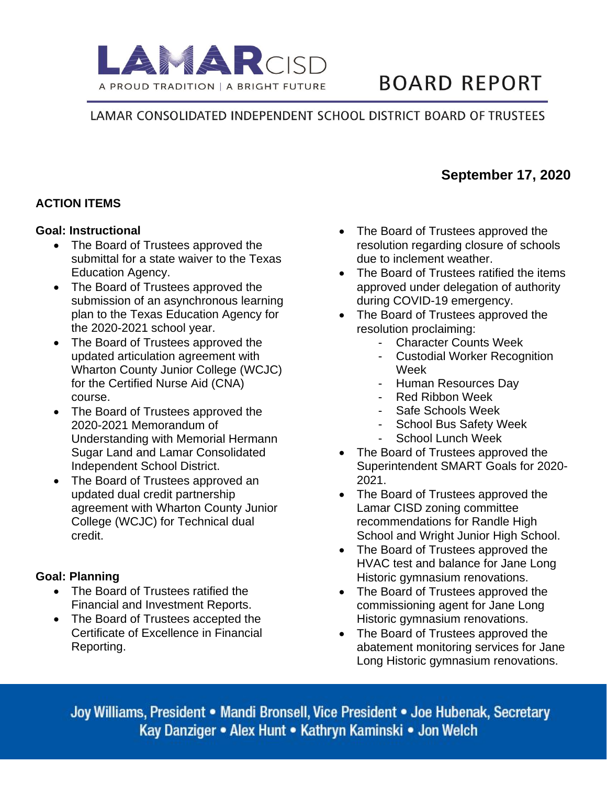

# **BOARD REPORT**

**September 17, 2020**

## LAMAR CONSOLIDATED INDEPENDENT SCHOOL DISTRICT BOARD OF TRUSTEES

## **ACTION ITEMS**

#### **Goal: Instructional**

- The Board of Trustees approved the submittal for a state waiver to the Texas Education Agency.
- The Board of Trustees approved the submission of an asynchronous learning plan to the Texas Education Agency for the 2020-2021 school year.
- The Board of Trustees approved the updated articulation agreement with Wharton County Junior College (WCJC) for the Certified Nurse Aid (CNA) course.
- The Board of Trustees approved the 2020-2021 Memorandum of Understanding with Memorial Hermann Sugar Land and Lamar Consolidated Independent School District.
- The Board of Trustees approved an updated dual credit partnership agreement with Wharton County Junior College (WCJC) for Technical dual credit.

#### **Goal: Planning**

- The Board of Trustees ratified the Financial and Investment Reports.
- The Board of Trustees accepted the Certificate of Excellence in Financial Reporting.
- The Board of Trustees approved the resolution regarding closure of schools due to inclement weather.
- The Board of Trustees ratified the items approved under delegation of authority during COVID-19 emergency.
- The Board of Trustees approved the resolution proclaiming:
	- **Character Counts Week**
	- **Custodial Worker Recognition** Week
	- Human Resources Day
	- Red Ribbon Week
	- Safe Schools Week
	- School Bus Safety Week
	- School Lunch Week
- The Board of Trustees approved the Superintendent SMART Goals for 2020- 2021.
- The Board of Trustees approved the Lamar CISD zoning committee recommendations for Randle High School and Wright Junior High School.
- The Board of Trustees approved the HVAC test and balance for Jane Long Historic gymnasium renovations.
- The Board of Trustees approved the commissioning agent for Jane Long Historic gymnasium renovations.
- The Board of Trustees approved the abatement monitoring services for Jane Long Historic gymnasium renovations.

Joy Williams, President . Mandi Bronsell, Vice President . Joe Hubenak, Secretary Kay Danziger • Alex Hunt • Kathryn Kaminski • Jon Welch